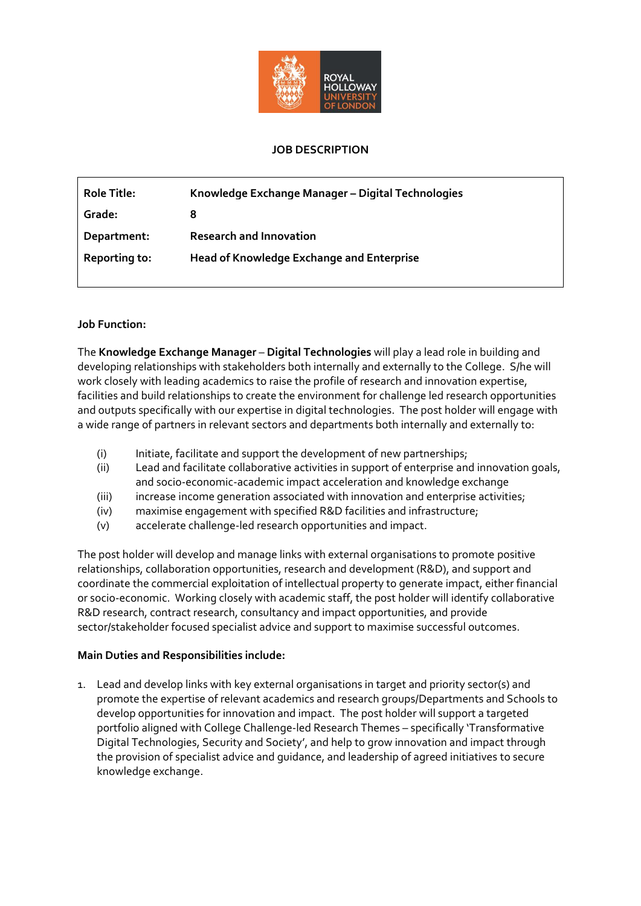

## **JOB DESCRIPTION**

| <b>Role Title:</b> | Knowledge Exchange Manager - Digital Technologies |
|--------------------|---------------------------------------------------|
| Grade:             |                                                   |
| Department:        | <b>Research and Innovation</b>                    |
| Reporting to:      | <b>Head of Knowledge Exchange and Enterprise</b>  |
|                    |                                                   |

## **Job Function:**

The **Knowledge Exchange Manager** – **Digital Technologies** will play a lead role in building and developing relationships with stakeholders both internally and externally to the College. S/he will work closely with leading academics to raise the profile of research and innovation expertise, facilities and build relationships to create the environment for challenge led research opportunities and outputs specifically with our expertise in digital technologies. The post holder will engage with a wide range of partners in relevant sectors and departments both internally and externally to:

- (i) Initiate, facilitate and support the development of new partnerships;
- (ii) Lead and facilitate collaborative activities in support of enterprise and innovation goals, and socio-economic-academic impact acceleration and knowledge exchange
- (iii) increase income generation associated with innovation and enterprise activities;
- (iv) maximise engagement with specified R&D facilities and infrastructure;
- (v) accelerate challenge-led research opportunities and impact.

The post holder will develop and manage links with external organisations to promote positive relationships, collaboration opportunities, research and development (R&D), and support and coordinate the commercial exploitation of intellectual property to generate impact, either financial or socio-economic. Working closely with academic staff, the post holder will identify collaborative R&D research, contract research, consultancy and impact opportunities, and provide sector/stakeholder focused specialist advice and support to maximise successful outcomes.

## **Main Duties and Responsibilities include:**

1. Lead and develop links with key external organisations in target and priority sector(s) and promote the expertise of relevant academics and research groups/Departments and Schools to develop opportunities for innovation and impact. The post holder will support a targeted portfolio aligned with College Challenge-led Research Themes – specifically 'Transformative Digital Technologies, Security and Society', and help to grow innovation and impact through the provision of specialist advice and guidance, and leadership of agreed initiatives to secure knowledge exchange.